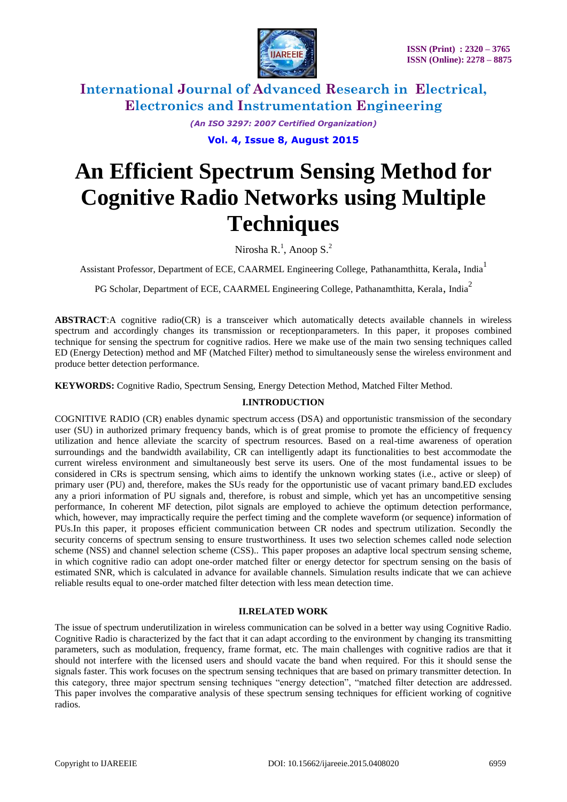

> *(An ISO 3297: 2007 Certified Organization)* **Vol. 4, Issue 8, August 2015**

# **An Efficient Spectrum Sensing Method for Cognitive Radio Networks using Multiple Techniques**

Nirosha R.<sup>1</sup>, Anoop S.<sup>2</sup>

Assistant Professor, Department of ECE, CAARMEL Engineering College, Pathanamthitta, Kerala, India<sup>1</sup>

PG Scholar, Department of ECE, CAARMEL Engineering College, Pathanamthitta, Kerala, India<sup>2</sup>

**ABSTRACT**:A cognitive radio(CR) is a [transceiver](http://en.wikipedia.org/wiki/Transceiver) which automatically detects available channels in wireless spectrum and accordingly changes its [transmission](http://en.wikipedia.org/wiki/Transmission_%28telecommunications%29) or [receptionparameters.](http://en.wikipedia.org/wiki/Reception) In this paper, it proposes combined technique for sensing the spectrum for cognitive radios. Here we make use of the main two sensing techniques called ED (Energy Detection) method and MF (Matched Filter) method to simultaneously sense the wireless environment and produce better detection performance.

**KEYWORDS:** Cognitive Radio, Spectrum Sensing, Energy Detection Method, Matched Filter Method.

## **I.INTRODUCTION**

COGNITIVE RADIO (CR) enables dynamic spectrum access (DSA) and opportunistic transmission of the secondary user (SU) in authorized primary frequency bands, which is of great promise to promote the efficiency of frequency utilization and hence alleviate the scarcity of spectrum resources. Based on a real-time awareness of operation surroundings and the bandwidth availability, CR can intelligently adapt its functionalities to best accommodate the current wireless environment and simultaneously best serve its users. One of the most fundamental issues to be considered in CRs is spectrum sensing, which aims to identify the unknown working states (i.e., active or sleep) of primary user (PU) and, therefore, makes the SUs ready for the opportunistic use of vacant primary band.ED excludes any a priori information of PU signals and, therefore, is robust and simple, which yet has an uncompetitive sensing performance, In coherent MF detection, pilot signals are employed to achieve the optimum detection performance, which, however, may impractically require the perfect timing and the complete waveform (or sequence) information of PUs.In this paper, it proposes efficient communication between CR nodes and spectrum utilization. Secondly the security concerns of spectrum sensing to ensure trustworthiness. It uses two selection schemes called node selection scheme (NSS) and channel selection scheme (CSS).. This paper proposes an adaptive local spectrum sensing scheme, in which cognitive radio can adopt one-order matched filter or energy detector for spectrum sensing on the basis of estimated SNR, which is calculated in advance for available channels. Simulation results indicate that we can achieve reliable results equal to one-order matched filter detection with less mean detection time.

#### **II.RELATED WORK**

The issue of spectrum underutilization in wireless communication can be solved in a better way using Cognitive Radio. Cognitive Radio is characterized by the fact that it can adapt according to the environment by changing its transmitting parameters, such as modulation, frequency, frame format, etc. The main challenges with cognitive radios are that it should not interfere with the licensed users and should vacate the band when required. For this it should sense the signals faster. This work focuses on the spectrum sensing techniques that are based on primary transmitter detection. In this category, three major spectrum sensing techniques "energy detection", "matched filter detection are addressed. This paper involves the comparative analysis of these spectrum sensing techniques for efficient working of cognitive radios.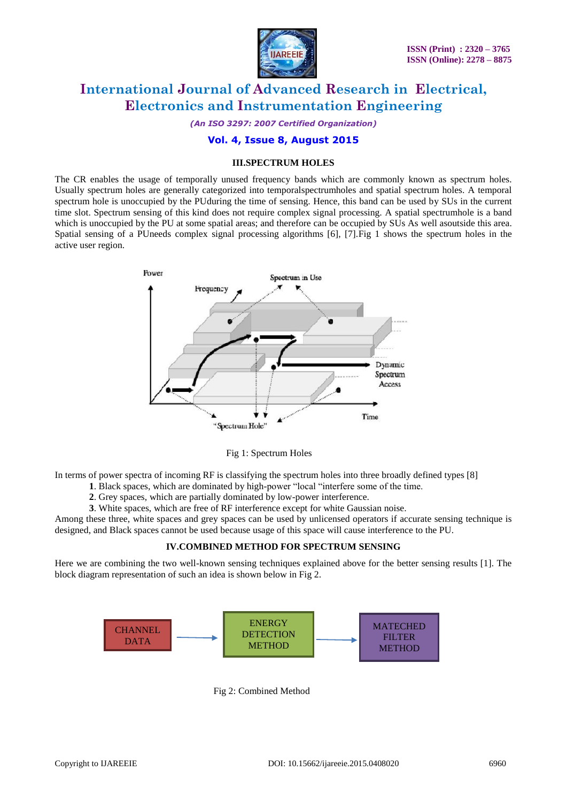

*(An ISO 3297: 2007 Certified Organization)*

## **Vol. 4, Issue 8, August 2015**

#### **III.SPECTRUM HOLES**

The CR enables the usage of temporally unused frequency bands which are commonly known as spectrum holes. Usually spectrum holes are generally categorized into temporalspectrumholes and spatial spectrum holes. A temporal spectrum hole is unoccupied by the PUduring the time of sensing. Hence, this band can be used by SUs in the current time slot. Spectrum sensing of this kind does not require complex signal processing. A spatial spectrumhole is a band which is unoccupied by the PU at some spatial areas; and therefore can be occupied by SUs As well asoutside this area. Spatial sensing of a PUneeds complex signal processing algorithms [6], [7].Fig 1 shows the spectrum holes in the active user region.



Fig 1: Spectrum Holes

In terms of power spectra of incoming RF is classifying the spectrum holes into three broadly defined types [8]

- **1**. Black spaces, which are dominated by high-power "local "interfere some of the time.
- **2**. Grey spaces, which are partially dominated by low-power interference.

**3**. White spaces, which are free of RF interference except for white Gaussian noise.

Among these three, white spaces and grey spaces can be used by unlicensed operators if accurate sensing technique is designed, and Black spaces cannot be used because usage of this space will cause interference to the PU.

#### **IV.COMBINED METHOD FOR SPECTRUM SENSING**

Here we are combining the two well-known sensing techniques explained above for the better sensing results [1]. The block diagram representation of such an idea is shown below in Fig 2.



Fig 2: Combined Method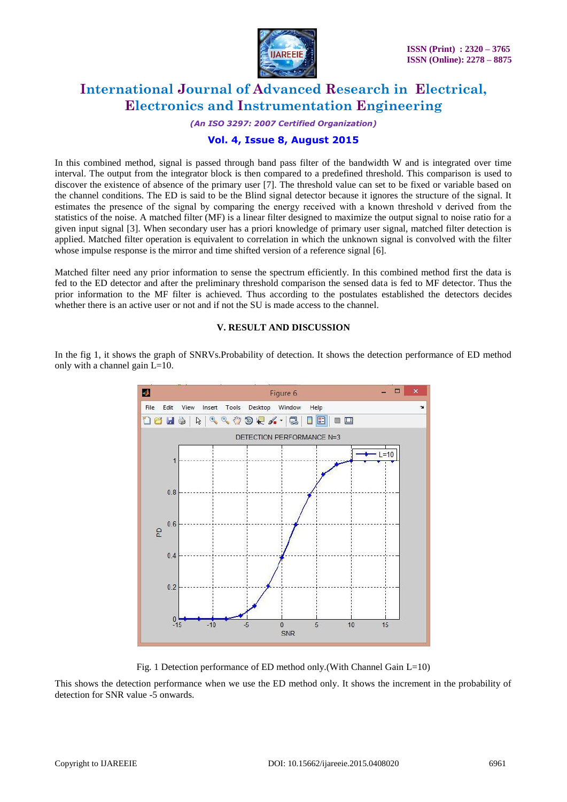

*(An ISO 3297: 2007 Certified Organization)*

## **Vol. 4, Issue 8, August 2015**

In this combined method, signal is passed through band pass filter of the bandwidth W and is integrated over time interval. The output from the integrator block is then compared to a predefined threshold. This comparison is used to discover the existence of absence of the primary user [7]. The threshold value can set to be fixed or variable based on the channel conditions. The ED is said to be the Blind signal detector because it ignores the structure of the signal. It estimates the presence of the signal by comparing the energy received with a known threshold ν derived from the statistics of the noise. A matched filter (MF) is a linear filter designed to maximize the output signal to noise ratio for a given input signal [3]. When secondary user has a priori knowledge of primary user signal, matched filter detection is applied. Matched filter operation is equivalent to correlation in which the unknown signal is convolved with the filter whose impulse response is the mirror and time shifted version of a reference signal [6].

Matched filter need any prior information to sense the spectrum efficiently. In this combined method first the data is fed to the ED detector and after the preliminary threshold comparison the sensed data is fed to MF detector. Thus the prior information to the MF filter is achieved. Thus according to the postulates established the detectors decides whether there is an active user or not and if not the SU is made access to the channel.

#### **V. RESULT AND DISCUSSION**

In the fig 1, it shows the graph of SNRVs.Probability of detection. It shows the detection performance of ED method only with a channel gain L=10.



Fig. 1 Detection performance of ED method only.(With Channel Gain L=10)

This shows the detection performance when we use the ED method only. It shows the increment in the probability of detection for SNR value -5 onwards.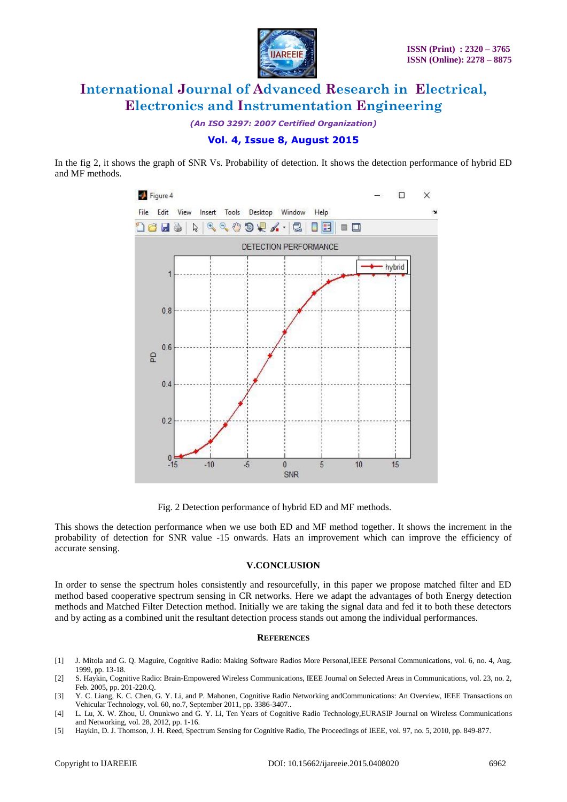

*(An ISO 3297: 2007 Certified Organization)*

In the fig 2, it shows the graph of SNR Vs. Probability of detection. It shows the detection performance of hybrid ED and MF methods.



Fig. 2 Detection performance of hybrid ED and MF methods.

This shows the detection performance when we use both ED and MF method together. It shows the increment in the probability of detection for SNR value -15 onwards. Hats an improvement which can improve the efficiency of accurate sensing.

#### **V.CONCLUSION**

In order to sense the spectrum holes consistently and resourcefully, in this paper we propose matched filter and ED method based cooperative spectrum sensing in CR networks. Here we adapt the advantages of both Energy detection methods and Matched Filter Detection method. Initially we are taking the signal data and fed it to both these detectors and by acting as a combined unit the resultant detection process stands out among the individual performances.

#### **REFERENCES**

- [1] J. Mitola and G. Q. Maguire, Cognitive Radio: Making Software Radios More Personal,IEEE Personal Communications, vol. 6, no. 4, Aug. 1999, pp. 13-18.
- [2] S. Haykin, Cognitive Radio: Brain-Empowered Wireless Communications, IEEE Journal on Selected Areas in Communications, vol. 23, no. 2, Feb. 2005, pp. 201-220.Q.
- [3] Y. C. Liang, K. C. Chen, G. Y. Li, and P. Mahonen, Cognitive Radio Networking andCommunications: An Overview, IEEE Transactions on Vehicular Technology, vol. 60, no.7, September 2011, pp. 3386-3407..
- [4] L. Lu, X. W. Zhou, U. Onunkwo and G. Y. Li, Ten Years of Cognitive Radio Technology,EURASIP Journal on Wireless Communications and Networking, vol. 28, 2012, pp. 1-16.
- [5] Haykin, D. J. Thomson, J. H. Reed, Spectrum Sensing for Cognitive Radio, The Proceedings of IEEE, vol. 97, no. 5, 2010, pp. 849-877.

**Vol. 4, Issue 8, August 2015**